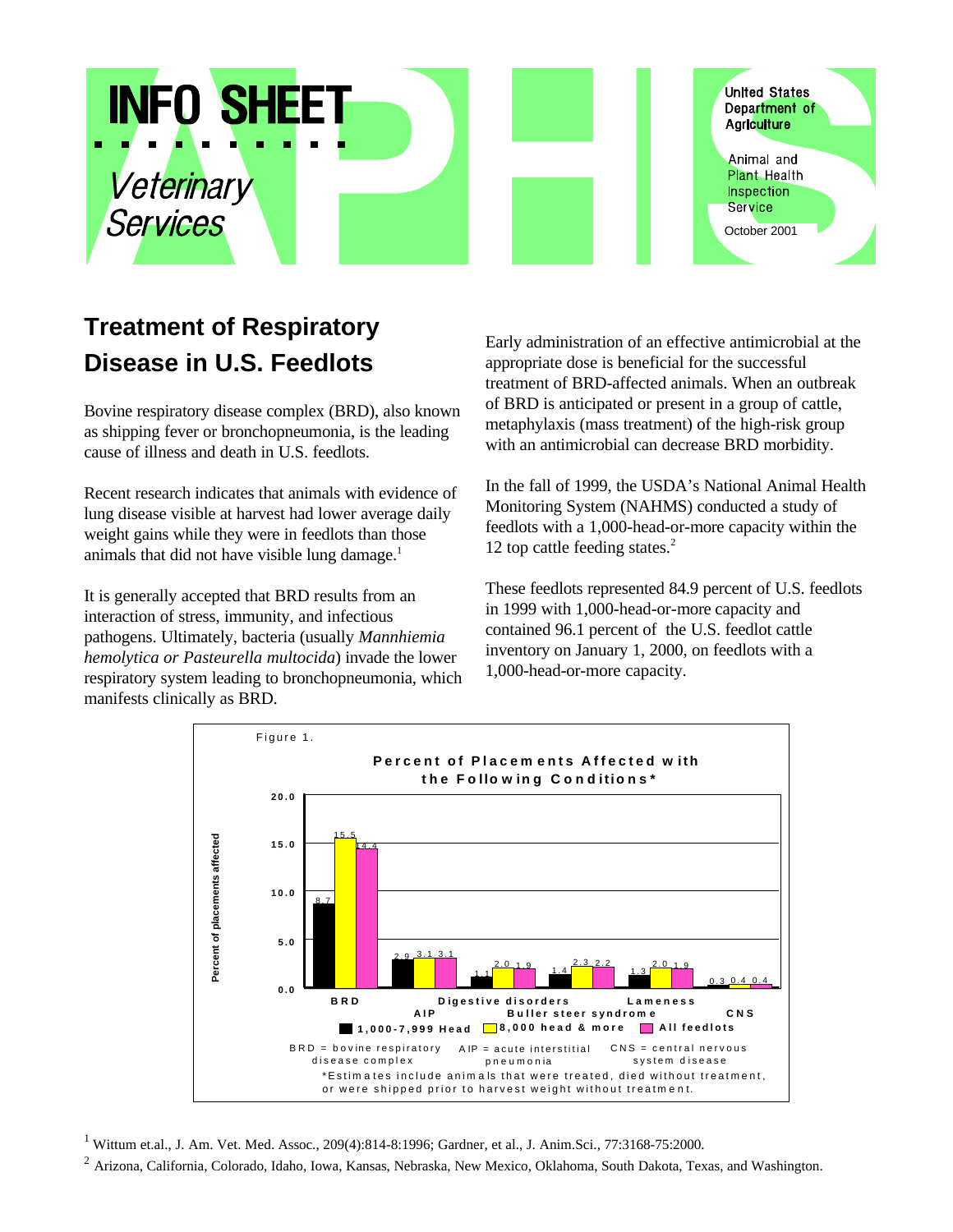

## **Treatment of Respiratory Disease in U.S. Feedlots**

Bovine respiratory disease complex (BRD), also known as shipping fever or bronchopneumonia, is the leading cause of illness and death in U.S. feedlots.

Recent research indicates that animals with evidence of lung disease visible at harvest had lower average daily weight gains while they were in feedlots than those animals that did not have visible lung damage.<sup>1</sup>

It is generally accepted that BRD results from an interaction of stress, immunity, and infectious pathogens. Ultimately, bacteria (usually *Mannhiemia hemolytica or Pasteurella multocida*) invade the lower respiratory system leading to bronchopneumonia, which manifests clinically as BRD.

Early administration of an effective antimicrobial at the appropriate dose is beneficial for the successful treatment of BRD-affected animals. When an outbreak of BRD is anticipated or present in a group of cattle, metaphylaxis (mass treatment) of the high-risk group with an antimicrobial can decrease BRD morbidity.

In the fall of 1999, the USDA's National Animal Health Monitoring System (NAHMS) conducted a study of feedlots with a 1,000-head-or-more capacity within the 12 top cattle feeding states.<sup>2</sup>

These feedlots represented 84.9 percent of U.S. feedlots in 1999 with 1,000-head-or-more capacity and contained 96.1 percent of the U.S. feedlot cattle inventory on January 1, 2000, on feedlots with a 1,000-head-or-more capacity.



<sup>1</sup> Wittum et.al., J. Am. Vet. Med. Assoc., 209(4):814-8:1996; Gardner, et al., J. Anim.Sci., 77:3168-75:2000.

 $2$  Arizona, California, Colorado, Idaho, Iowa, Kansas, Nebraska, New Mexico, Oklahoma, South Dakota, Texas, and Washington.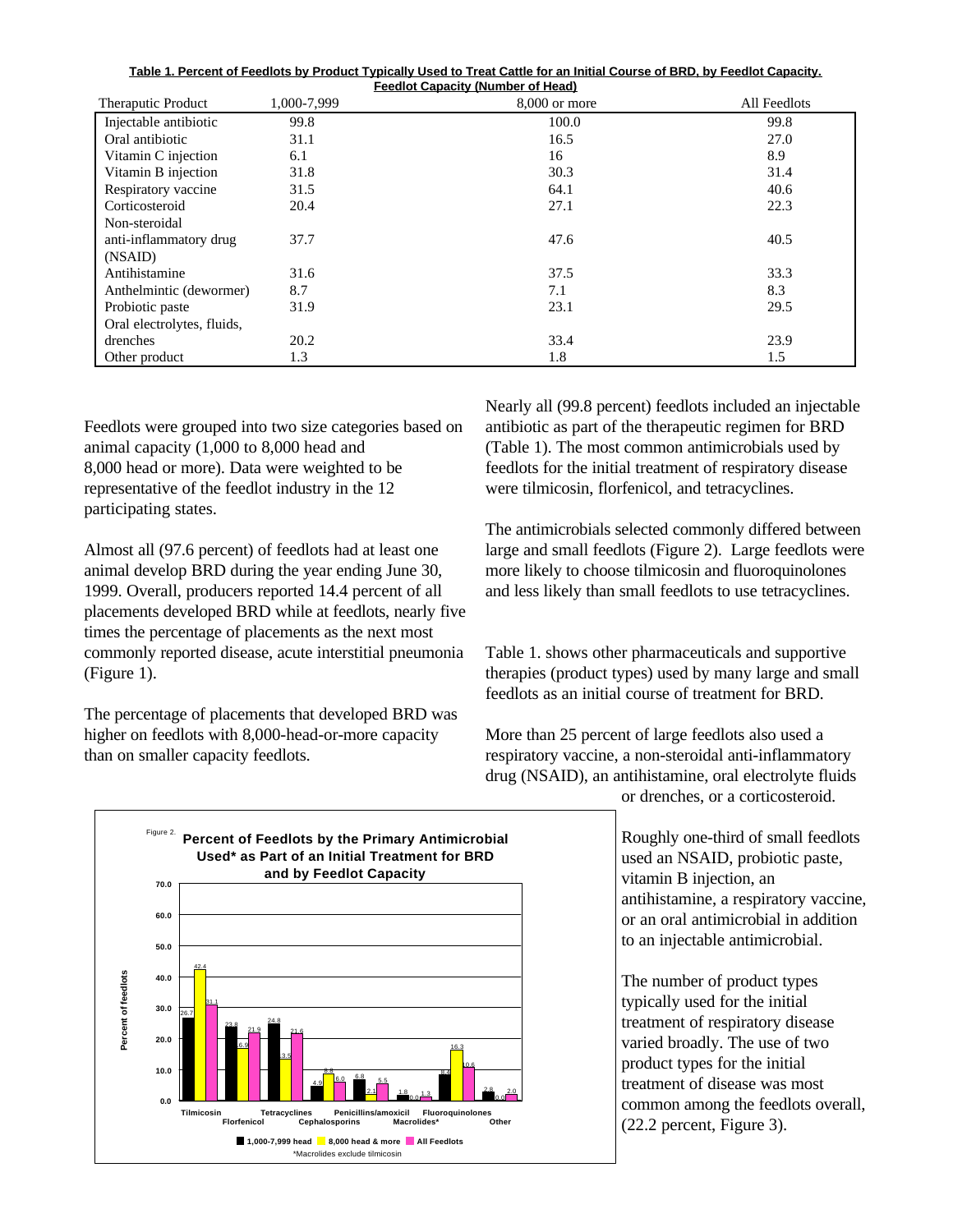| Table 1. Percent of Feedlots by Product Typically Used to Treat Cattle for an Initial Course of BRD, by Feedlot Capacity. |  |  |  |  |  |  |  |  |
|---------------------------------------------------------------------------------------------------------------------------|--|--|--|--|--|--|--|--|
| <b>Feedlot Capacity (Number of Head)</b>                                                                                  |  |  |  |  |  |  |  |  |

| Theraputic Product         | 1.000-7.999 | $8,000$ or more | All Feedlots |
|----------------------------|-------------|-----------------|--------------|
| Injectable antibiotic      | 99.8        | 100.0           | 99.8         |
| Oral antibiotic            | 31.1        | 16.5            | 27.0         |
| Vitamin C injection        | 6.1         | 16              | 8.9          |
| Vitamin B injection        | 31.8        | 30.3            | 31.4         |
| Respiratory vaccine        | 31.5        | 64.1            | 40.6         |
| Corticosteroid             | 20.4        | 27.1            | 22.3         |
| Non-steroidal              |             |                 |              |
| anti-inflammatory drug     | 37.7        | 47.6            | 40.5         |
| (NSAID)                    |             |                 |              |
| Antihistamine              | 31.6        | 37.5            | 33.3         |
| Anthelmintic (dewormer)    | 8.7         | 7.1             | 8.3          |
| Probiotic paste            | 31.9        | 23.1            | 29.5         |
| Oral electrolytes, fluids, |             |                 |              |
| drenches                   | 20.2        | 33.4            | 23.9         |
| Other product              | 1.3         | 1.8             | 1.5          |

Feedlots were grouped into two size categories based on animal capacity (1,000 to 8,000 head and 8,000 head or more). Data were weighted to be representative of the feedlot industry in the 12 participating states.

Almost all (97.6 percent) of feedlots had at least one animal develop BRD during the year ending June 30, 1999. Overall, producers reported 14.4 percent of all placements developed BRD while at feedlots, nearly five times the percentage of placements as the next most commonly reported disease, acute interstitial pneumonia (Figure 1).

The percentage of placements that developed BRD was higher on feedlots with 8,000-head-or-more capacity than on smaller capacity feedlots.

Nearly all (99.8 percent) feedlots included an injectable antibiotic as part of the therapeutic regimen for BRD (Table 1). The most common antimicrobials used by feedlots for the initial treatment of respiratory disease were tilmicosin, florfenicol, and tetracyclines.

The antimicrobials selected commonly differed between large and small feedlots (Figure 2). Large feedlots were more likely to choose tilmicosin and fluoroquinolones and less likely than small feedlots to use tetracyclines.

Table 1. shows other pharmaceuticals and supportive therapies (product types) used by many large and small feedlots as an initial course of treatment for BRD.

More than 25 percent of large feedlots also used a respiratory vaccine, a non-steroidal anti-inflammatory drug (NSAID), an antihistamine, oral electrolyte fluids

or drenches, or a corticosteroid.

Roughly one-third of small feedlots used an NSAID, probiotic paste, vitamin B injection, an antihistamine, a respiratory vaccine, or an oral antimicrobial in addition to an injectable antimicrobial.

The number of product types typically used for the initial treatment of respiratory disease varied broadly. The use of two product types for the initial treatment of disease was most common among the feedlots overall, (22.2 percent, Figure 3).

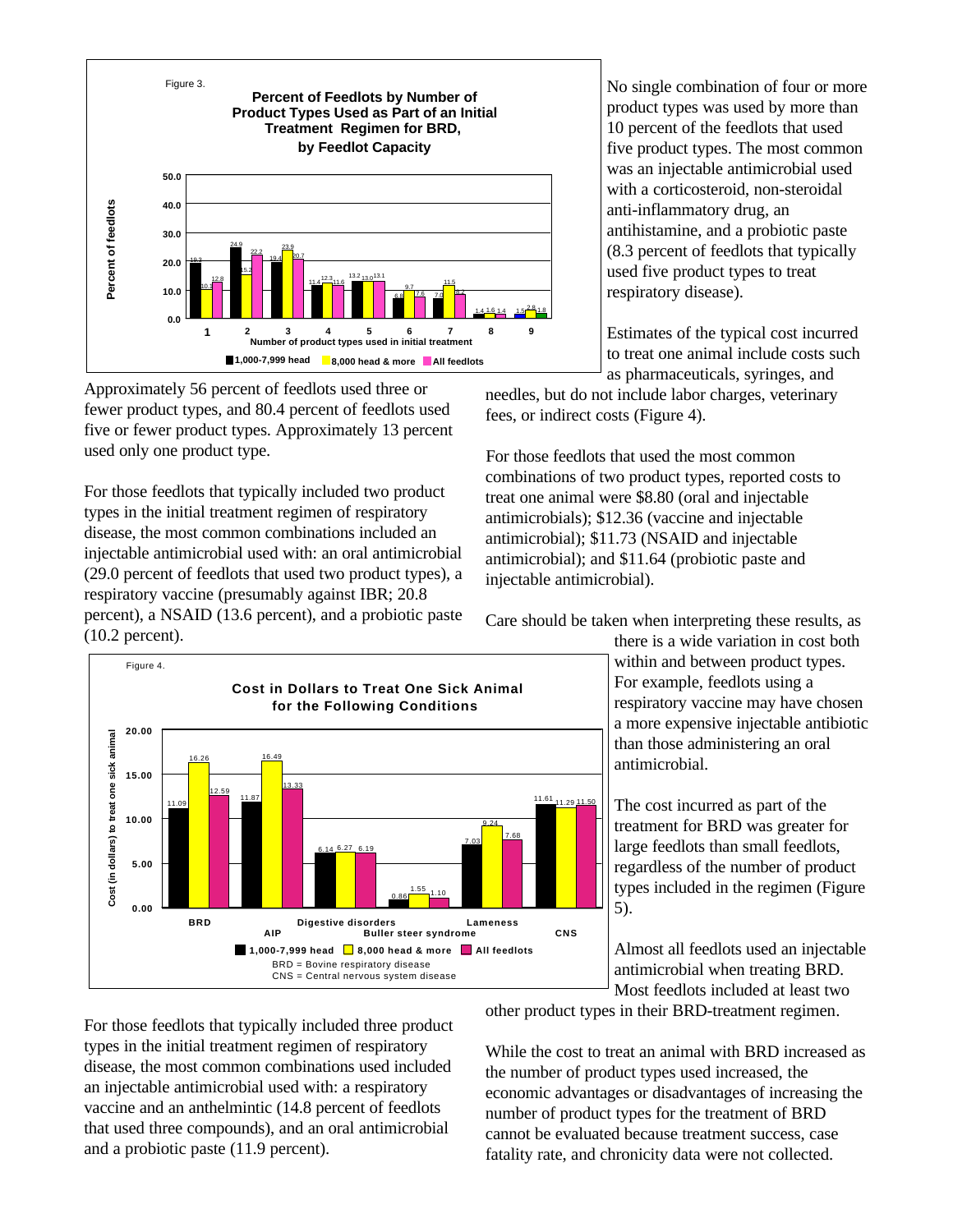

Approximately 56 percent of feedlots used three or fewer product types, and 80.4 percent of feedlots used five or fewer product types. Approximately 13 percent used only one product type.

For those feedlots that typically included two product types in the initial treatment regimen of respiratory disease, the most common combinations included an injectable antimicrobial used with: an oral antimicrobial (29.0 percent of feedlots that used two product types), a respiratory vaccine (presumably against IBR; 20.8 percent), a NSAID (13.6 percent), and a probiotic paste (10.2 percent).

13.33

6.19

11.09 **1 12.09 12.09 12.09 12.09 12.09 12.09 12.09 12.09 12.09 12.09 12.09 12.09** 

**Cost in Dollars to Treat One Sick Animal for the Following Conditions**

6.27

**Digestive disorders**

BRD = Bovine respiratory disease CNS = Central nervous system disease

6.14

1.10

1.55

**Buller steer syndrome**

0.86

**1,000-7,999 head 8,000 head & more All feedlots**

7.68

11.61

9.24

**Lameness**

7.03

11.50

**CNS**

12.59

**BRD**

**0.00**

**5.00**

**10.00**

**Cost (in dollars) to treat one sick animal**

Cost (in dollars) to treat one sick animal

**15.00**

**20.00**

Figure 4.

16.26 16.49

11.87

No single combination of four or more product types was used by more than 10 percent of the feedlots that used five product types. The most common was an injectable antimicrobial used with a corticosteroid, non-steroidal anti-inflammatory drug, an antihistamine, and a probiotic paste (8.3 percent of feedlots that typically used five product types to treat respiratory disease).

Estimates of the typical cost incurred to treat one animal include costs such as pharmaceuticals, syringes, and

needles, but do not include labor charges, veterinary fees, or indirect costs (Figure 4).

For those feedlots that used the most common combinations of two product types, reported costs to treat one animal were \$8.80 (oral and injectable antimicrobials); \$12.36 (vaccine and injectable antimicrobial); \$11.73 (NSAID and injectable antimicrobial); and \$11.64 (probiotic paste and injectable antimicrobial).



there is a wide variation in cost both within and between product types. For example, feedlots using a respiratory vaccine may have chosen a more expensive injectable antibiotic than those administering an oral antimicrobial.

The cost incurred as part of the treatment for BRD was greater for large feedlots than small feedlots, regardless of the number of product types included in the regimen (Figure 5).

Almost all feedlots used an injectable antimicrobial when treating BRD. Most feedlots included at least two

For those feedlots that typically included three product types in the initial treatment regimen of respiratory disease, the most common combinations used included an injectable antimicrobial used with: a respiratory vaccine and an anthelmintic (14.8 percent of feedlots that used three compounds), and an oral antimicrobial and a probiotic paste (11.9 percent).

**AIP**

other product types in their BRD-treatment regimen.

While the cost to treat an animal with BRD increased as the number of product types used increased, the economic advantages or disadvantages of increasing the number of product types for the treatment of BRD cannot be evaluated because treatment success, case fatality rate, and chronicity data were not collected.